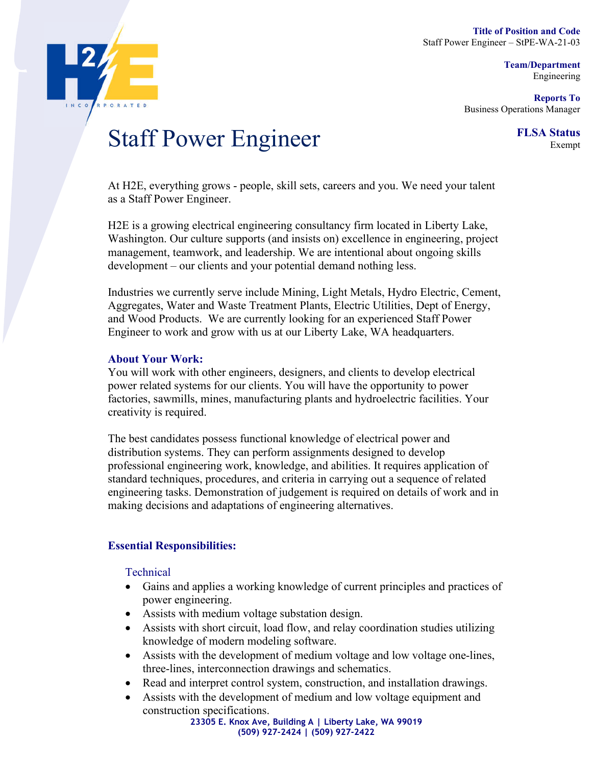**Team/Department**  Engineering

**Reports To**  Business Operations Manager



# **Staff Power Engineer** FLSA Status

At H2E, everything grows - people, skill sets, careers and you. We need your talent as a Staff Power Engineer.

H2E is a growing electrical engineering consultancy firm located in Liberty Lake, Washington. Our culture supports (and insists on) excellence in engineering, project management, teamwork, and leadership. We are intentional about ongoing skills development – our clients and your potential demand nothing less.

Industries we currently serve include Mining, Light Metals, Hydro Electric, Cement, Aggregates, Water and Waste Treatment Plants, Electric Utilities, Dept of Energy, and Wood Products. We are currently looking for an experienced Staff Power Engineer to work and grow with us at our Liberty Lake, WA headquarters.

### **About Your Work:**

You will work with other engineers, designers, and clients to develop electrical power related systems for our clients. You will have the opportunity to power factories, sawmills, mines, manufacturing plants and hydroelectric facilities. Your creativity is required.

The best candidates possess functional knowledge of electrical power and distribution systems. They can perform assignments designed to develop professional engineering work, knowledge, and abilities. It requires application of standard techniques, procedures, and criteria in carrying out a sequence of related engineering tasks. Demonstration of judgement is required on details of work and in making decisions and adaptations of engineering alternatives.

# **Essential Responsibilities:**

Technical

- Gains and applies a working knowledge of current principles and practices of power engineering.
- Assists with medium voltage substation design.
- Assists with short circuit, load flow, and relay coordination studies utilizing knowledge of modern modeling software.
- Assists with the development of medium voltage and low voltage one-lines, three-lines, interconnection drawings and schematics.
- Read and interpret control system, construction, and installation drawings.
- Assists with the development of medium and low voltage equipment and construction specifications.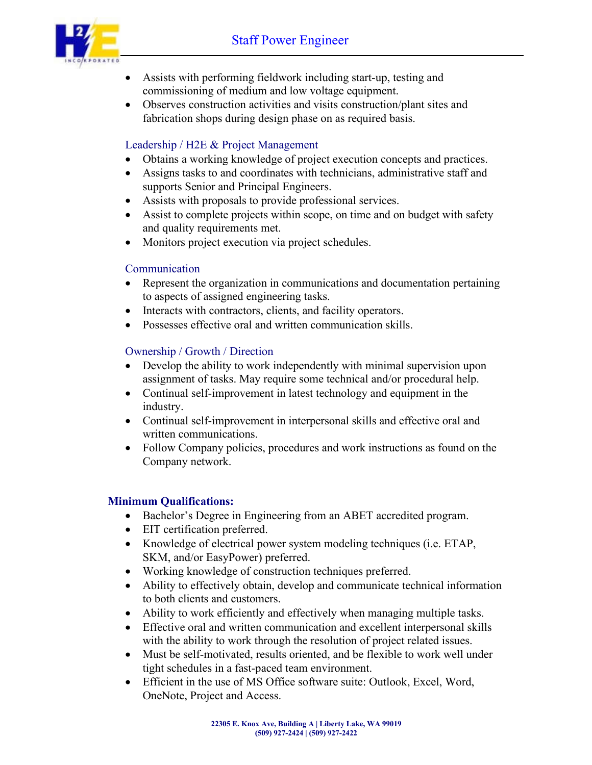

- Assists with performing fieldwork including start-up, testing and commissioning of medium and low voltage equipment.
- Observes construction activities and visits construction/plant sites and fabrication shops during design phase on as required basis.

## Leadership / H2E & Project Management

- Obtains a working knowledge of project execution concepts and practices.
- Assigns tasks to and coordinates with technicians, administrative staff and supports Senior and Principal Engineers.
- Assists with proposals to provide professional services.
- Assist to complete projects within scope, on time and on budget with safety and quality requirements met.
- Monitors project execution via project schedules.

# Communication

- Represent the organization in communications and documentation pertaining to aspects of assigned engineering tasks.
- Interacts with contractors, clients, and facility operators.
- Possesses effective oral and written communication skills.

# Ownership / Growth / Direction

- Develop the ability to work independently with minimal supervision upon assignment of tasks. May require some technical and/or procedural help.
- Continual self-improvement in latest technology and equipment in the industry.
- Continual self-improvement in interpersonal skills and effective oral and written communications.
- Follow Company policies, procedures and work instructions as found on the Company network.

### **Minimum Qualifications:**

- Bachelor's Degree in Engineering from an ABET accredited program.
- EIT certification preferred.
- Knowledge of electrical power system modeling techniques (i.e. ETAP, SKM, and/or EasyPower) preferred.
- Working knowledge of construction techniques preferred.
- Ability to effectively obtain, develop and communicate technical information to both clients and customers.
- Ability to work efficiently and effectively when managing multiple tasks.
- Effective oral and written communication and excellent interpersonal skills with the ability to work through the resolution of project related issues.
- Must be self-motivated, results oriented, and be flexible to work well under tight schedules in a fast-paced team environment.
- Efficient in the use of MS Office software suite: Outlook, Excel, Word, OneNote, Project and Access.